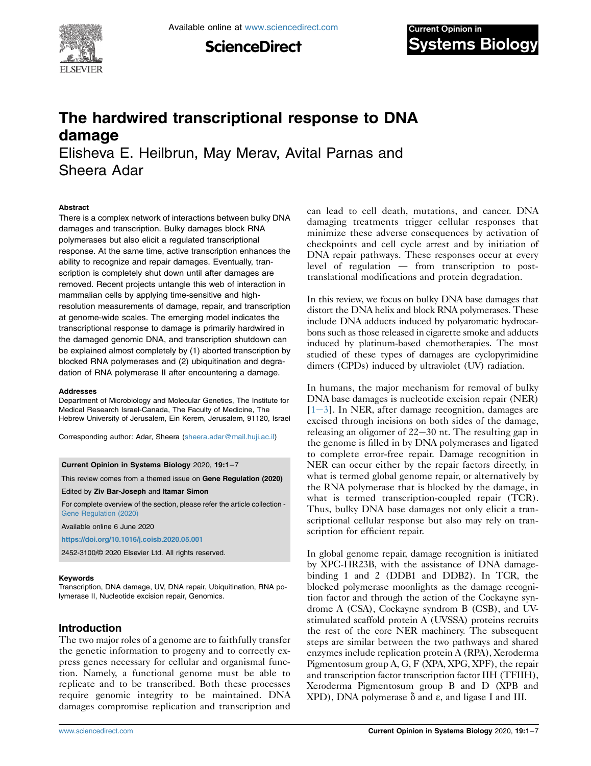

**ScienceDirect** 

# The hardwired transcriptional response to DNA damage

Elisheva E. Heilbrun, May Merav, Avital Parnas and Sheera Adar

#### Abstract

There is a complex network of interactions between bulky DNA damages and transcription. Bulky damages block RNA polymerases but also elicit a regulated transcriptional response. At the same time, active transcription enhances the ability to recognize and repair damages. Eventually, transcription is completely shut down until after damages are removed. Recent projects untangle this web of interaction in mammalian cells by applying time-sensitive and highresolution measurements of damage, repair, and transcription at genome-wide scales. The emerging model indicates the transcriptional response to damage is primarily hardwired in the damaged genomic DNA, and transcription shutdown can be explained almost completely by (1) aborted transcription by blocked RNA polymerases and (2) ubiquitination and degradation of RNA polymerase II after encountering a damage.

#### **Addresses**

Department of Microbiology and Molecular Genetics, The Institute for Medical Research Israel-Canada, The Faculty of Medicine, The Hebrew University of Jerusalem, Ein Kerem, Jerusalem, 91120, Israel

Corresponding author: Adar, Sheera [\(sheera.adar@mail.huji.ac.il](mailto:sheera.adar@mail.huji.ac.il))

Current Opinion in Systems Biology 2020, 19:1–7

This review comes from a themed issue on Gene Regulation (2020)

Edited by Ziv Bar-Joseph and Itamar Simon

For complete overview of the section, please refer the article collection - [Gene Regulation \(2020\)](https://www.sciencedirect.com/journal/current-opinion-in-systems-biology/special-issue/10KDZZ1DM9P)

Available online 6 June 2020

<https://doi.org/10.1016/j.coisb.2020.05.001>

2452-3100/© 2020 Elsevier Ltd. All rights reserved.

#### Keywords

Transcription, DNA damage, UV, DNA repair, Ubiquitination, RNA polymerase II, Nucleotide excision repair, Genomics.

# Introduction

The two major roles of a genome are to faithfully transfer the genetic information to progeny and to correctly express genes necessary for cellular and organismal function. Namely, a functional genome must be able to replicate and to be transcribed. Both these processes require genomic integrity to be maintained. DNA damages compromise replication and transcription and

can lead to cell death, mutations, and cancer. DNA damaging treatments trigger cellular responses that minimize these adverse consequences by activation of checkpoints and cell cycle arrest and by initiation of DNA repair pathways. These responses occur at every level of regulation  $-$  from transcription to posttranslational modifications and protein degradation.

In this review, we focus on bulky DNA base damages that distort the DNA helix and block RNA polymerases. These include DNA adducts induced by polyaromatic hydrocarbons such as those released in cigarette smoke and adducts induced by platinum-based chemotherapies. The most studied of these types of damages are cyclopyrimidine dimers (CPDs) induced by ultraviolet (UV) radiation.

In humans, the major mechanism for removal of bulky DNA base damages is nucleotide excision repair (NER)  $[1-3]$  $[1-3]$  $[1-3]$ . In NER, after damage recognition, damages are excised through incisions on both sides of the damage, releasing an oligomer of  $22-30$  nt. The resulting gap in the genome is filled in by DNA polymerases and ligated to complete error-free repair. Damage recognition in NER can occur either by the repair factors directly, in what is termed global genome repair, or alternatively by the RNA polymerase that is blocked by the damage, in what is termed transcription-coupled repair (TCR). Thus, bulky DNA base damages not only elicit a transcriptional cellular response but also may rely on transcription for efficient repair.

In global genome repair, damage recognition is initiated by XPC-HR23B, with the assistance of DNA damagebinding 1 and 2 (DDB1 and DDB2). In TCR, the blocked polymerase moonlights as the damage recognition factor and through the action of the Cockayne syndrome A (CSA), Cockayne syndrom B (CSB), and UVstimulated scaffold protein A (UVSSA) proteins recruits the rest of the core NER machinery. The subsequent steps are similar between the two pathways and shared enzymes include replication protein A (RPA), Xeroderma Pigmentosum group A, G, F (XPA, XPG, XPF), the repair and transcription factor transcription factor IIH (TFIIH), Xeroderma Pigmentosum group B and D (XPB and XPD), DNA polymerase  $\delta$  and  $\varepsilon$ , and ligase I and III.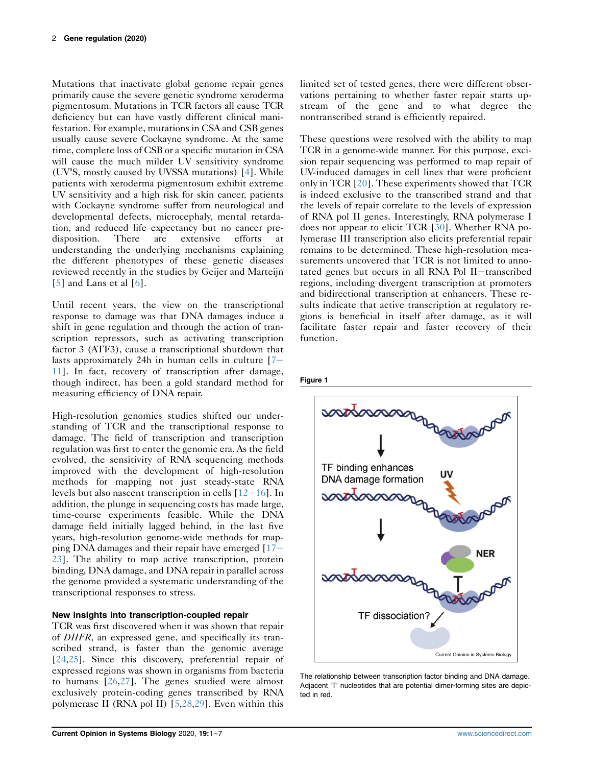Mutations that inactivate global genome repair genes primarily cause the severe genetic syndrome xeroderma pigmentosum. Mutations in TCR factors all cause TCR deficiency but can have vastly different clinical manifestation. For example, mutations in CSA and CSB genes usually cause severe Cockayne syndrome. At the same time, complete loss of CSB or a specific mutation in CSA will cause the much milder UV sensitivity syndrome (UV<sup>S</sup>S, mostly caused by UVSSA mutations) [[4\]](#page-4-1). While patients with xeroderma pigmentosum exhibit extreme UV sensitivity and a high risk for skin cancer, patients with Cockayne syndrome suffer from neurological and developmental defects, microcephaly, mental retardation, and reduced life expectancy but no cancer predisposition. There are extensive efforts at understanding the underlying mechanisms explaining the different phenotypes of these genetic diseases reviewed recently in the studies by Geijer and Marteijn [\[5](#page-4-2)] and Lans et al [[6](#page-4-3)].

Until recent years, the view on the transcriptional response to damage was that DNA damages induce a shift in gene regulation and through the action of transcription repressors, such as activating transcription factor 3 (ATF3), cause a transcriptional shutdown that lasts approximately 24h in human cells in culture  $[7-\]$  $[7-\]$ [11](#page-4-4)]. In fact, recovery of transcription after damage, though indirect, has been a gold standard method for measuring efficiency of DNA repair.

High-resolution genomics studies shifted our understanding of TCR and the transcriptional response to damage. The field of transcription and transcription regulation was first to enter the genomic era. As the field evolved, the sensitivity of RNA sequencing methods improved with the development of high-resolution methods for mapping not just steady-state RNA levels but also nascent transcription in cells  $[12-16]$  $[12-16]$  $[12-16]$  $[12-16]$  $[12-16]$ . In addition, the plunge in sequencing costs has made large, time-course experiments feasible. While the DNA damage field initially lagged behind, in the last five years, high-resolution genome-wide methods for mapping DNA damages and their repair have emerged  $[17 [17 [17-$ [23](#page-4-6)]. The ability to map active transcription, protein binding, DNA damage, and DNA repair in parallel across the genome provided a systematic understanding of the transcriptional responses to stress.

# New insights into transcription-coupled repair

TCR was first discovered when it was shown that repair of DHFR, an expressed gene, and specifically its transcribed strand, is faster than the genomic average [\[24](#page-5-0)[,25](#page-5-1)]. Since this discovery, preferential repair of expressed regions was shown in organisms from bacteria to humans [[26,](#page-5-2)[27\]](#page-5-3). The genes studied were almost exclusively protein-coding genes transcribed by RNA polymerase II (RNA pol II) [[5](#page-4-2),[28](#page-5-4),[29](#page-5-5)]. Even within this

limited set of tested genes, there were different observations pertaining to whether faster repair starts upstream of the gene and to what degree the nontranscribed strand is efficiently repaired.

These questions were resolved with the ability to map TCR in a genome-wide manner. For this purpose, excision repair sequencing was performed to map repair of UV-induced damages in cell lines that were proficient only in TCR [\[20\]](#page-5-6). These experiments showed that TCR is indeed exclusive to the transcribed strand and that the levels of repair correlate to the levels of expression of RNA pol II genes. Interestingly, RNA polymerase I does not appear to elicit TCR [[30](#page-5-7)]. Whether RNA polymerase III transcription also elicits preferential repair remains to be determined. These high-resolution measurements uncovered that TCR is not limited to annotated genes but occurs in all RNA Pol II-transcribed regions, including divergent transcription at promoters and bidirectional transcription at enhancers. These results indicate that active transcription at regulatory regions is beneficial in itself after damage, as it will facilitate faster repair and faster recovery of their function.

#### <span id="page-1-0"></span>Figure 1



The relationship between transcription factor binding and DNA damage. Adjacent 'T' nucleotides that are potential dimer-forming sites are depicted in red.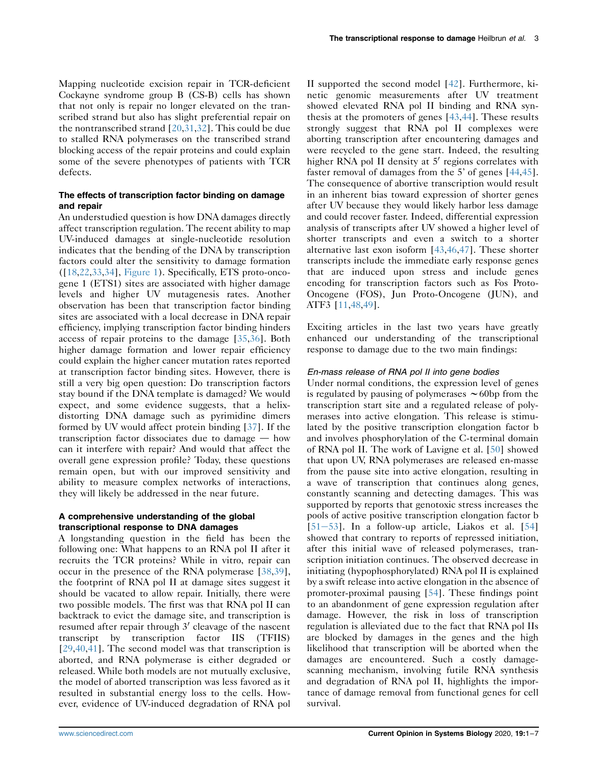Mapping nucleotide excision repair in TCR-deficient Cockayne syndrome group B (CS-B) cells has shown that not only is repair no longer elevated on the transcribed strand but also has slight preferential repair on the nontranscribed strand  $[20,31,32]$  $[20,31,32]$  $[20,31,32]$  $[20,31,32]$ . This could be due to stalled RNA polymerases on the transcribed strand blocking access of the repair proteins and could explain some of the severe phenotypes of patients with TCR defects.

### The effects of transcription factor binding on damage and repair

An understudied question is how DNA damages directly affect transcription regulation. The recent ability to map UV-induced damages at single-nucleotide resolution indicates that the bending of the DNA by transcription factors could alter the sensitivity to damage formation ([\[18](#page-4-7)[,22,](#page-5-10)[33,](#page-5-11)[34\]](#page-5-12), [Figure 1](#page-1-0)). Specifically, ETS proto-oncogene 1 (ETS1) sites are associated with higher damage levels and higher UV mutagenesis rates. Another observation has been that transcription factor binding sites are associated with a local decrease in DNA repair efficiency, implying transcription factor binding hinders access of repair proteins to the damage [\[35](#page-5-13)[,36](#page-5-14)]. Both higher damage formation and lower repair efficiency could explain the higher cancer mutation rates reported at transcription factor binding sites. However, there is still a very big open question: Do transcription factors stay bound if the DNA template is damaged? We would expect, and some evidence suggests, that a helixdistorting DNA damage such as pyrimidine dimers formed by UV would affect protein binding [\[37\]](#page-5-15). If the transcription factor dissociates due to damage  $-$  how can it interfere with repair? And would that affect the overall gene expression profile? Today, these questions remain open, but with our improved sensitivity and ability to measure complex networks of interactions, they will likely be addressed in the near future.

#### A comprehensive understanding of the global transcriptional response to DNA damages

A longstanding question in the field has been the following one: What happens to an RNA pol II after it recruits the TCR proteins? While in vitro, repair can occur in the presence of the RNA polymerase [\[38](#page-5-16)[,39](#page-5-17)], the footprint of RNA pol II at damage sites suggest it should be vacated to allow repair. Initially, there were two possible models. The first was that RNA pol II can backtrack to evict the damage site, and transcription is resumed after repair through  $3'$  cleavage of the nascent transcript by transcription factor IIS (TFIIS) [\[29,](#page-5-5)[40](#page-5-18)[,41](#page-5-19)]. The second model was that transcription is aborted, and RNA polymerase is either degraded or released. While both models are not mutually exclusive, the model of aborted transcription was less favored as it resulted in substantial energy loss to the cells. However, evidence of UV-induced degradation of RNA pol

II supported the second model [[42](#page-5-20)]. Furthermore, kinetic genomic measurements after UV treatment showed elevated RNA pol II binding and RNA synthesis at the promoters of genes [[43](#page-5-21),[44](#page-5-22)]. These results strongly suggest that RNA pol II complexes were aborting transcription after encountering damages and were recycled to the gene start. Indeed, the resulting higher RNA pol II density at  $5'$  regions correlates with faster removal of damages from the 5' of genes [\[44,](#page-5-22)[45\]](#page-5-23). The consequence of abortive transcription would result in an inherent bias toward expression of shorter genes after UV because they would likely harbor less damage and could recover faster. Indeed, differential expression analysis of transcripts after UV showed a higher level of shorter transcripts and even a switch to a shorter alternative last exon isoform [\[43,](#page-5-21)[46,](#page-5-24)[47\]](#page-5-25). These shorter transcripts include the immediate early response genes that are induced upon stress and include genes encoding for transcription factors such as Fos Proto-Oncogene (FOS), Jun Proto-Oncogene (JUN), and ATF3 [[11](#page-4-8),[48,](#page-5-26)[49\]](#page-5-27).

Exciting articles in the last two years have greatly enhanced our understanding of the transcriptional response to damage due to the two main findings:

# En-mass release of RNA pol II into gene bodies

Under normal conditions, the expression level of genes is regulated by pausing of polymerases  $\sim$  60bp from the transcription start site and a regulated release of polymerases into active elongation. This release is stimulated by the positive transcription elongation factor b and involves phosphorylation of the C-terminal domain of RNA pol II. The work of Lavigne et al. [\[50\]](#page-5-28) showed that upon UV, RNA polymerases are released en-masse from the pause site into active elongation, resulting in a wave of transcription that continues along genes, constantly scanning and detecting damages. This was supported by reports that genotoxic stress increases the pools of active positive transcription elongation factor b [ $51-53$ ]. In a follow-up article, Liakos et al. [ $54$ ] showed that contrary to reports of repressed initiation, after this initial wave of released polymerases, transcription initiation continues. The observed decrease in initiating (hypophosphorylated) RNA pol II is explained by a swift release into active elongation in the absence of promoter-proximal pausing [\[54](#page-5-30)]. These findings point to an abandonment of gene expression regulation after damage. However, the risk in loss of transcription regulation is alleviated due to the fact that RNA pol IIs are blocked by damages in the genes and the high likelihood that transcription will be aborted when the damages are encountered. Such a costly damagescanning mechanism, involving futile RNA synthesis and degradation of RNA pol II, highlights the importance of damage removal from functional genes for cell survival.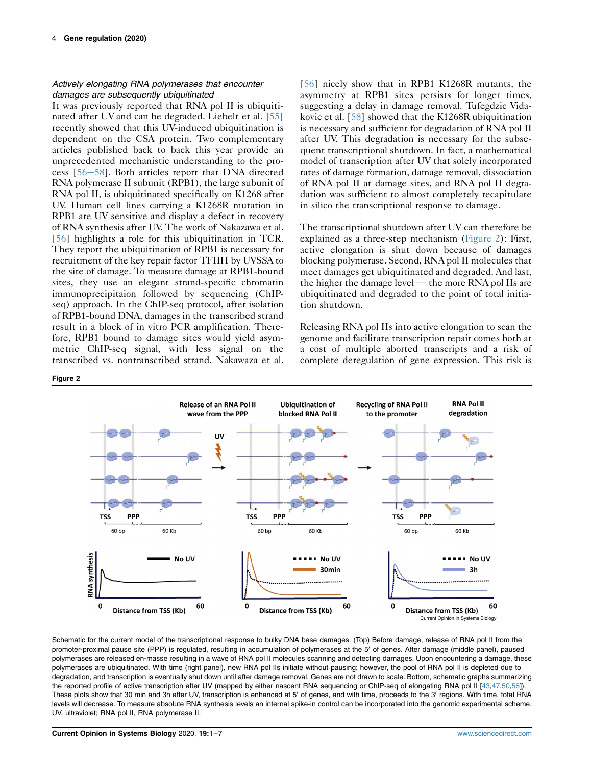# Actively elongating RNA polymerases that encounter damages are subsequently ubiquitinated

It was previously reported that RNA pol II is ubiquitinated after UV and can be degraded. Liebelt et al. [\[55\]](#page-5-31) recently showed that this UV-induced ubiquitination is dependent on the CSA protein. Two complementary articles published back to back this year provide an unprecedented mechanistic understanding to the process  $[56-58]$  $[56-58]$  $[56-58]$  $[56-58]$  $[56-58]$ . Both articles report that DNA directed RNA polymerase II subunit (RPB1), the large subunit of RNA pol II, is ubiquitinated specifically on K1268 after UV. Human cell lines carrying a K1268R mutation in RPB1 are UV sensitive and display a defect in recovery of RNA synthesis after UV. The work of Nakazawa et al. [\[56](#page-5-32)] highlights a role for this ubiquitination in TCR. They report the ubiquitination of RPB1 is necessary for recruitment of the key repair factor TFIIH by UVSSA to the site of damage. To measure damage at RPB1-bound sites, they use an elegant strand-specific chromatin immunoprecipitaion followed by sequencing (ChIPseq) approach. In the ChIP-seq protocol, after isolation of RPB1-bound DNA, damages in the transcribed strand result in a block of in vitro PCR amplification. Therefore, RPB1 bound to damage sites would yield asymmetric ChIP-seq signal, with less signal on the transcribed vs. nontranscribed strand. Nakawaza et al.

[\[56\]](#page-5-32) nicely show that in RPB1 K1268R mutants, the asymmetry at RPB1 sites persists for longer times, suggesting a delay in damage removal. Tufegdzic Vidakovic et al. [[58](#page-6-0)] showed that the K1268R ubiquitination is necessary and sufficient for degradation of RNA pol II after UV. This degradation is necessary for the subsequent transcriptional shutdown. In fact, a mathematical model of transcription after UV that solely incorporated rates of damage formation, damage removal, dissociation of RNA pol II at damage sites, and RNA pol II degradation was sufficient to almost completely recapitulate in silico the transcriptional response to damage.

The transcriptional shutdown after UV can therefore be explained as a three-step mechanism [\(Figure 2\)](#page-3-0): First, active elongation is shut down because of damages blocking polymerase. Second, RNA pol II molecules that meet damages get ubiquitinated and degraded. And last, the higher the damage level  $-$  the more RNA pol IIs are ubiquitinated and degraded to the point of total initiation shutdown.

Releasing RNA pol IIs into active elongation to scan the genome and facilitate transcription repair comes both at a cost of multiple aborted transcripts and a risk of complete deregulation of gene expression. This risk is

<span id="page-3-0"></span>

Schematic for the current model of the transcriptional response to bulky DNA base damages. (Top) Before damage, release of RNA pol II from the promoter-proximal pause site (PPP) is regulated, resulting in accumulation of polymerases at the 5' of genes. After damage (middle panel), paused polymerases are released en-masse resulting in a wave of RNA pol II molecules scanning and detecting damages. Upon encountering a damage, these polymerases are ubiquitinated. With time (right panel), new RNA pol IIs initiate without pausing; however, the pool of RNA pol II is depleted due to degradation, and transcription is eventually shut down until after damage removal. Genes are not drawn to scale. Bottom, schematic graphs summarizing the reported profile of active transcription after UV (mapped by either nascent RNA sequencing or ChIP-seq of elongating RNA pol II [[43,](#page-5-21)[47](#page-5-25)[,50](#page-5-28),[56\]](#page-5-32)). These plots show that 30 min and 3h after UV, transcription is enhanced at 5' of genes, and with time, proceeds to the 3' regions. With time, total RNA levels will decrease. To measure absolute RNA synthesis levels an internal spike-in control can be incorporated into the genomic experimental scheme. UV, ultraviolet; RNA pol II, RNA polymerase II.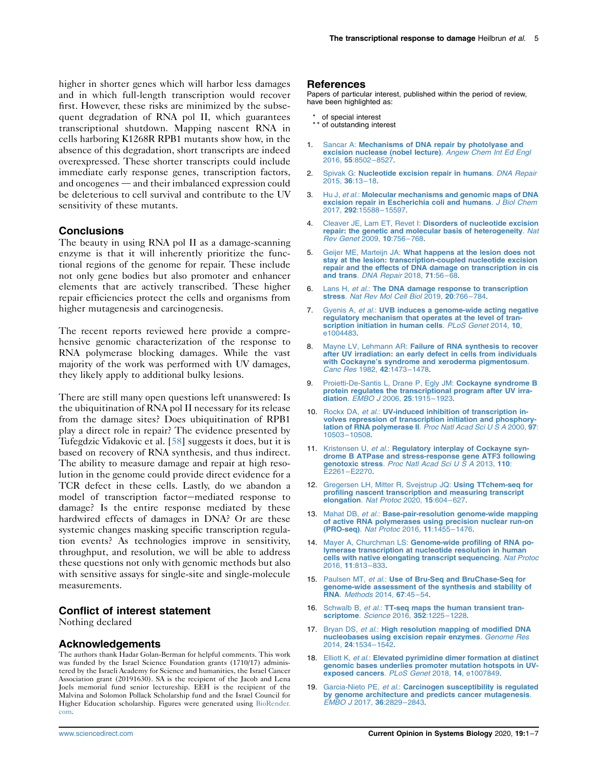higher in shorter genes which will harbor less damages and in which full-length transcription would recover first. However, these risks are minimized by the subsequent degradation of RNA pol II, which guarantees transcriptional shutdown. Mapping nascent RNA in cells harboring K1268R RPB1 mutants show how, in the absence of this degradation, short transcripts are indeed overexpressed. These shorter transcripts could include immediate early response genes, transcription factors, and oncogenes — and their imbalanced expression could be deleterious to cell survival and contribute to the UV sensitivity of these mutants.

# **Conclusions**

The beauty in using RNA pol II as a damage-scanning enzyme is that it will inherently prioritize the functional regions of the genome for repair. These include not only gene bodies but also promoter and enhancer elements that are actively transcribed. These higher repair efficiencies protect the cells and organisms from higher mutagenesis and carcinogenesis.

The recent reports reviewed here provide a comprehensive genomic characterization of the response to RNA polymerase blocking damages. While the vast majority of the work was performed with UV damages, they likely apply to additional bulky lesions.

There are still many open questions left unanswered: Is the ubiquitination of RNA pol II necessary for its release from the damage sites? Does ubiquitination of RPB1 play a direct role in repair? The evidence presented by Tufegdzic Vidakovic et al. [[58](#page-6-0)] suggests it does, but it is based on recovery of RNA synthesis, and thus indirect. The ability to measure damage and repair at high resolution in the genome could provide direct evidence for a TCR defect in these cells. Lastly, do we abandon a model of transcription factor-mediated response to damage? Is the entire response mediated by these hardwired effects of damages in DNA? Or are these systemic changes masking specific transcription regulation events? As technologies improve in sensitivity, throughput, and resolution, we will be able to address these questions not only with genomic methods but also with sensitive assays for single-site and single-molecule measurements.

#### Conflict of interest statement

Nothing declared

#### Acknowledgements

The authors thank Hadar Golan-Berman for helpful comments. This work was funded by the Israel Science Foundation grants (1710/17) administered by the Israeli Academy for Science and humanities, the Israel Cancer Association grant (20191630). SA is the recipient of the Jacob and Lena Joels memorial fund senior lectureship. EEH is the recipient of the Malvina and Solomon Pollack Scholarship fund and the Israel Council for Higher Education scholarship. Figures were generated using [BioRender.](http://BioRender.com) [com](http://BioRender.com).

#### References

Papers of particular interest, published within the period of review, have been highlighted as:

- of special interest
- \*\* of outstanding interest
- <span id="page-4-0"></span>Sancar A: [Mechanisms of DNA repair by photolyase and](http://refhub.elsevier.com/S2452-3100(20)30002-0/sref1) [excision nuclease \(nobel lecture\)](http://refhub.elsevier.com/S2452-3100(20)30002-0/sref1). Angew Chem Int Ed Engl [2016,](http://refhub.elsevier.com/S2452-3100(20)30002-0/sref1) 55:8502–8527.
- 2. Spivak G: [Nucleotide excision repair in humans](http://refhub.elsevier.com/S2452-3100(20)30002-0/sref2). DNA Repair [2015,](http://refhub.elsevier.com/S2452-3100(20)30002-0/sref2) 36:13–18.
- 3. Hu J, et al.: [Molecular mechanisms and genomic maps of DNA](http://refhub.elsevier.com/S2452-3100(20)30002-0/sref3) [excision repair in Escherichia coli and humans](http://refhub.elsevier.com/S2452-3100(20)30002-0/sref3). J Biol Chem 2017, 292[:15588](http://refhub.elsevier.com/S2452-3100(20)30002-0/sref3)–15597.
- <span id="page-4-1"></span>Cleaver JE, Lam ET, Revet I: [Disorders of nucleotide excision](http://refhub.elsevier.com/S2452-3100(20)30002-0/sref4) [repair: the genetic and molecular basis of heterogeneity](http://refhub.elsevier.com/S2452-3100(20)30002-0/sref4). Nat [Rev Genet](http://refhub.elsevier.com/S2452-3100(20)30002-0/sref4) 2009, 10:756–768.
- <span id="page-4-2"></span>5. Geijer ME, Marteijn JA: [What happens at the lesion does not](http://refhub.elsevier.com/S2452-3100(20)30002-0/sref5) [stay at the lesion: transcription-coupled nucleotide excision](http://refhub.elsevier.com/S2452-3100(20)30002-0/sref5) [repair and the effects of DNA damage on transcription in cis](http://refhub.elsevier.com/S2452-3100(20)30002-0/sref5) and trans. [DNA Repair](http://refhub.elsevier.com/S2452-3100(20)30002-0/sref5) 2018, 71:56–68.
- <span id="page-4-3"></span>6. Lans H, et al.: [The DNA damage response to transcription](http://refhub.elsevier.com/S2452-3100(20)30002-0/sref6) stress. [Nat Rev Mol Cell Biol](http://refhub.elsevier.com/S2452-3100(20)30002-0/sref6) 2019, 20:766–784.
- <span id="page-4-4"></span>7. Gyenis A, et al.: [UVB induces a genome-wide acting negative](http://refhub.elsevier.com/S2452-3100(20)30002-0/sref7) regulatory mechanism that operates at the level of tran-<br>[scription initiation in human cells](http://refhub.elsevier.com/S2452-3100(20)30002-0/sref7). PLoS Genet 2014, 10, [e1004483](http://refhub.elsevier.com/S2452-3100(20)30002-0/sref7).
- Mayne LV, Lehmann AR: [Failure of RNA synthesis to recover](http://refhub.elsevier.com/S2452-3100(20)30002-0/sref8) [after UV irradiation: an early defect in cells from individuals](http://refhub.elsevier.com/S2452-3100(20)30002-0/sref8) with Cockayne's [syndrome and xeroderma pigmentosum](http://refhub.elsevier.com/S2452-3100(20)30002-0/sref8). [Canc Res](http://refhub.elsevier.com/S2452-3100(20)30002-0/sref8) 1982, 42:1473–1478.
- [Proietti-De-Santis L, Drane P, Egly JM:](http://refhub.elsevier.com/S2452-3100(20)30002-0/sref9) Cockayne syndrome B [protein regulates the transcriptional program after UV irra-](http://refhub.elsevier.com/S2452-3100(20)30002-0/sref9)diation. [EMBO J](http://refhub.elsevier.com/S2452-3100(20)30002-0/sref9) 2006, 25:1915-1923.
- 10. Rockx DA, et al.: [UV-induced inhibition of transcription in](http://refhub.elsevier.com/S2452-3100(20)30002-0/sref10)volves repression of transcription initiation and phosphory-<br>[lation of RNA polymerase II](http://refhub.elsevier.com/S2452-3100(20)30002-0/sref10). Proc Natl Acad Sci U S A 2000, 97: 10503–[10508.](http://refhub.elsevier.com/S2452-3100(20)30002-0/sref10)
- <span id="page-4-8"></span>11. Kristensen U, et al.: [Regulatory interplay of Cockayne syn](http://refhub.elsevier.com/S2452-3100(20)30002-0/sref11)[drome B ATPase and stress-response gene ATF3 following](http://refhub.elsevier.com/S2452-3100(20)30002-0/sref11) genotoxic stress. [Proc Natl Acad Sci U S A](http://refhub.elsevier.com/S2452-3100(20)30002-0/sref11) 2013, 110: E2261–[E2270.](http://refhub.elsevier.com/S2452-3100(20)30002-0/sref11)
- <span id="page-4-5"></span>12. [Gregersen LH, Mitter R, Svejstrup JQ:](http://refhub.elsevier.com/S2452-3100(20)30002-0/sref12) Using TTchem-seg for [profiling nascent transcription and measuring transcript](http://refhub.elsevier.com/S2452-3100(20)30002-0/sref12) [elongation](http://refhub.elsevier.com/S2452-3100(20)30002-0/sref12). Nat Protoc 2020, 15:604–627.
- 13. Mahat DB, et al.: [Base-pair-resolution genome-wide mapping](http://refhub.elsevier.com/S2452-3100(20)30002-0/sref13) [of active RNA polymerases using precision nuclear run-on](http://refhub.elsevier.com/S2452-3100(20)30002-0/sref13)<br>[\(PRO-seq\)](http://refhub.elsevier.com/S2452-3100(20)30002-0/sref13). Nat Protoc 2016, 11:1455-1476.
- 14. Mayer A, Churchman LS: [Genome-wide profiling of RNA po](http://refhub.elsevier.com/S2452-3100(20)30002-0/sref14)[lymerase transcription at nucleotide resolution in human](http://refhub.elsevier.com/S2452-3100(20)30002-0/sref14) [cells with native elongating transcript sequencing](http://refhub.elsevier.com/S2452-3100(20)30002-0/sref14). Nat Protoc [2016,](http://refhub.elsevier.com/S2452-3100(20)30002-0/sref14) 11:813–833.
- 15. Paulsen MT, et al.: [Use of Bru-Seq and BruChase-Seq for](http://refhub.elsevier.com/S2452-3100(20)30002-0/sref15) [genome-wide assessment of the synthesis and stability of](http://refhub.elsevier.com/S2452-3100(20)30002-0/sref15) RNA. [Methods](http://refhub.elsevier.com/S2452-3100(20)30002-0/sref15) 2014, 67:45–54.
- 16. Schwalb B, et al.: [TT-seq maps the human transient tran](http://refhub.elsevier.com/S2452-3100(20)30002-0/sref16)[scriptome](http://refhub.elsevier.com/S2452-3100(20)30002-0/sref16). Science 2016, 352:1225–1228.
- <span id="page-4-6"></span>17. Bryan DS, et al.: [High resolution mapping of modified DNA](http://refhub.elsevier.com/S2452-3100(20)30002-0/sref17) [nucleobases using excision repair enzymes](http://refhub.elsevier.com/S2452-3100(20)30002-0/sref17). Genome Res 2014, 24[:1534](http://refhub.elsevier.com/S2452-3100(20)30002-0/sref17)–1542.
- <span id="page-4-7"></span>18. Elliott K, et al.: [Elevated pyrimidine dimer formation at distinct](http://refhub.elsevier.com/S2452-3100(20)30002-0/sref18) [genomic bases underlies promoter mutation hotspots in UV](http://refhub.elsevier.com/S2452-3100(20)30002-0/sref18)[exposed cancers](http://refhub.elsevier.com/S2452-3100(20)30002-0/sref18). PLoS Genet 2018, 14, e1007849.
- 19. Garcia-Nieto PE, et al.: [Carcinogen susceptibility is regulated](http://refhub.elsevier.com/S2452-3100(20)30002-0/sref19) [by genome architecture and predicts cancer mutagenesis](http://refhub.elsevier.com/S2452-3100(20)30002-0/sref19). [EMBO J](http://refhub.elsevier.com/S2452-3100(20)30002-0/sref19) 2017, 36:2829–2843.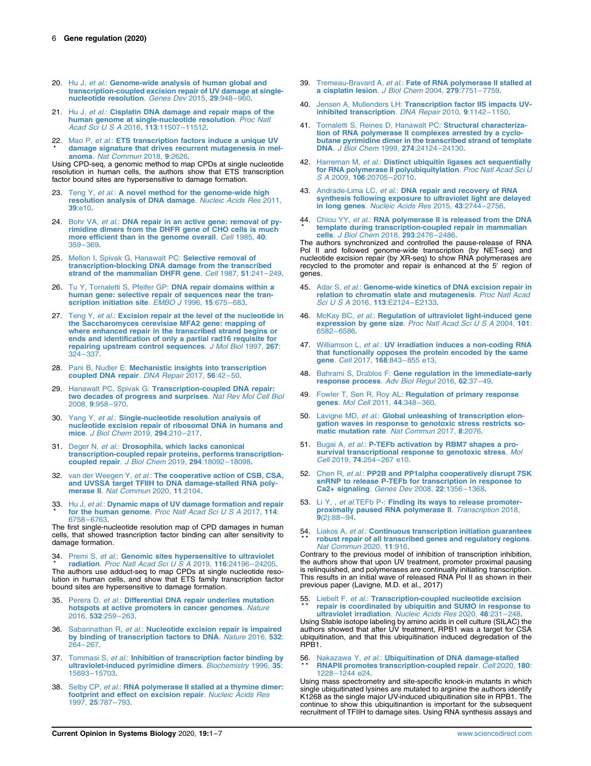- <span id="page-5-6"></span>20. Hu J, et al.: [Genome-wide analysis of human global and](http://refhub.elsevier.com/S2452-3100(20)30002-0/sref20) [transcription-coupled excision repair of UV damage at single](http://refhub.elsevier.com/S2452-3100(20)30002-0/sref20)[nucleotide resolution](http://refhub.elsevier.com/S2452-3100(20)30002-0/sref20). Genes Dev 2015, 29:948–960.
- 21. Hu J, et al.: [Cisplatin DNA damage and repair maps of the](http://refhub.elsevier.com/S2452-3100(20)30002-0/sref21) [human genome at single-nucleotide resolution](http://refhub.elsevier.com/S2452-3100(20)30002-0/sref21). Proc Natl [Acad Sci U S A](http://refhub.elsevier.com/S2452-3100(20)30002-0/sref21) 2016, 113:11507-11512.
- <span id="page-5-10"></span>22. Mao P, *et al.*: **[ETS transcription factors induce a unique UV](http://refhub.elsevier.com/S2452-3100(20)30002-0/sref22)** \* [damage signature that drives recurrent mutagenesis in mel](http://refhub.elsevier.com/S2452-3100(20)30002-0/sref22)anoma. [Nat Commun](http://refhub.elsevier.com/S2452-3100(20)30002-0/sref22) 2018, 9:2626.

Using CPD-seq, a genomic method to map CPDs at single nucleotide resolution in human cells, the authors show that ETS transcription factor bound sites are hypersensitive to damage formation.

- 23. Teng Y, et al.: [A novel method for the genome-wide high](http://refhub.elsevier.com/S2452-3100(20)30002-0/sref23) [resolution analysis of DNA damage](http://refhub.elsevier.com/S2452-3100(20)30002-0/sref23). Nucleic Acids Res 2011, 39[:e10.](http://refhub.elsevier.com/S2452-3100(20)30002-0/sref23)
- <span id="page-5-0"></span>24. Bohr VA, et al.: [DNA repair in an active gene: removal of py](http://refhub.elsevier.com/S2452-3100(20)30002-0/sref24)[rimidine dimers from the DHFR gene of CHO cells is much](http://refhub.elsevier.com/S2452-3100(20)30002-0/sref24) [more efficient than in the genome overall](http://refhub.elsevier.com/S2452-3100(20)30002-0/sref24). Cell 1985, 40: [359](http://refhub.elsevier.com/S2452-3100(20)30002-0/sref24)–369.
- <span id="page-5-1"></span>25. Mellon I, Spivak G. Hanawalt PC: Selective removal of [transcription-blocking DNA damage from the transcribed](http://refhub.elsevier.com/S2452-3100(20)30002-0/sref25) [strand of the mammalian DHFR gene](http://refhub.elsevier.com/S2452-3100(20)30002-0/sref25). Cell 1987, 51:241-249.
- <span id="page-5-2"></span>26. Tu Y, Tornaletti S, Pfeifer GP: [DNA repair domains within a](http://refhub.elsevier.com/S2452-3100(20)30002-0/sref26) [human gene: selective repair of sequences near the tran](http://refhub.elsevier.com/S2452-3100(20)30002-0/sref26)[scription initiation site](http://refhub.elsevier.com/S2452-3100(20)30002-0/sref26). EMBO J 1996, 15:675-683.
- <span id="page-5-3"></span>27. Teng Y, et al.: [Excision repair at the level of the nucleotide in](http://refhub.elsevier.com/S2452-3100(20)30002-0/sref27) [the Saccharomyces cerevisiae MFA2 gene: mapping of](http://refhub.elsevier.com/S2452-3100(20)30002-0/sref27) [where enhanced repair in the transcribed strand begins or](http://refhub.elsevier.com/S2452-3100(20)30002-0/sref27) [ends and identification of only a partial rad16 requisite for](http://refhub.elsevier.com/S2452-3100(20)30002-0/sref27) [repairing upstream control sequences](http://refhub.elsevier.com/S2452-3100(20)30002-0/sref27). J Mol Biol 1997, 267: [324](http://refhub.elsevier.com/S2452-3100(20)30002-0/sref27)–337.
- <span id="page-5-4"></span>28. Pani B, Nudler E: [Mechanistic insights into transcription](http://refhub.elsevier.com/S2452-3100(20)30002-0/sref28) [coupled DNA repair](http://refhub.elsevier.com/S2452-3100(20)30002-0/sref28). DNA Repair 2017, 56:42–50.
- <span id="page-5-5"></span>29. Hanawalt PC, Spivak G: [Transcription-coupled DNA repair:](http://refhub.elsevier.com/S2452-3100(20)30002-0/sref29) [two decades of progress and surprises](http://refhub.elsevier.com/S2452-3100(20)30002-0/sref29). Nat Rev Mol Cell Biol [2008,](http://refhub.elsevier.com/S2452-3100(20)30002-0/sref29) 9:958–970.
- <span id="page-5-7"></span>30. Yang Y, et al.: [Single-nucleotide resolution analysis of](http://refhub.elsevier.com/S2452-3100(20)30002-0/sref30) [nucleotide excision repair of ribosomal DNA in humans and](http://refhub.elsevier.com/S2452-3100(20)30002-0/sref30) mice. [J Biol Chem](http://refhub.elsevier.com/S2452-3100(20)30002-0/sref30) 2019, 294:210–217.
- <span id="page-5-8"></span>31. Deger N, et al.: [Drosophila, which lacks canonical](http://refhub.elsevier.com/S2452-3100(20)30002-0/sref31) transcription-[coupled repair](http://refhub.elsevier.com/S2452-3100(20)30002-0/sref31) proteins, performs transcription-<br>coupled repair. *J Biol Chem* 2019, **294**:18092–18098.
- <span id="page-5-9"></span>32. van der Weegen Y, et al.: [The cooperative action of CSB, CSA,](http://refhub.elsevier.com/S2452-3100(20)30002-0/sref32) [and UVSSA target TFIIH to DNA damage-stalled RNA poly](http://refhub.elsevier.com/S2452-3100(20)30002-0/sref32)merase II. [Nat Commun](http://refhub.elsevier.com/S2452-3100(20)30002-0/sref32) 2020, 11:2104.
- <span id="page-5-11"></span>33. Hu J, et al.: [Dynamic maps of UV damage formation and repair](http://refhub.elsevier.com/S2452-3100(20)30002-0/sref33) \* for the human genome. [Proc Natl Acad Sci U S A](http://refhub.elsevier.com/S2452-3100(20)30002-0/sref33) 2017, 114: [6758](http://refhub.elsevier.com/S2452-3100(20)30002-0/sref33)–6763.

The first single-nucleotide resolution map of CPD damages in human cells, that showed trasncription factor binding can alter sensitivity to damage formation.

<span id="page-5-12"></span>34. Premi S, et al.: [Genomic sites hypersensitive to ultraviolet](http://refhub.elsevier.com/S2452-3100(20)30002-0/sref34) \* radiation. [Proc Natl Acad Sci U S A](http://refhub.elsevier.com/S2452-3100(20)30002-0/sref34) 2019, 116:24196-24205.

The authors use adduct-seq to map CPDs at single nucleotide resolution in human cells, and show that ETS family transcription factor bound sites are hypersensitive to damage formation.

- <span id="page-5-13"></span>35. Perera D, et al.: [Differential DNA repair underlies mutation](http://refhub.elsevier.com/S2452-3100(20)30002-0/sref35) [hotspots at active promoters in cancer genomes](http://refhub.elsevier.com/S2452-3100(20)30002-0/sref35). Nature [2016,](http://refhub.elsevier.com/S2452-3100(20)30002-0/sref35) 532:259–263.
- <span id="page-5-14"></span>36. Sabarinathan R, et al.: [Nucleotide excision repair is impaired](http://refhub.elsevier.com/S2452-3100(20)30002-0/sref36) [by binding of transcription factors to DNA](http://refhub.elsevier.com/S2452-3100(20)30002-0/sref36). Nature 2016, 532: [264](http://refhub.elsevier.com/S2452-3100(20)30002-0/sref36)–267.
- <span id="page-5-15"></span>37. Tommasi S, et al.: [Inhibition of transcription factor binding by](http://refhub.elsevier.com/S2452-3100(20)30002-0/sref37) [ultraviolet-induced pyrimidine dimers](http://refhub.elsevier.com/S2452-3100(20)30002-0/sref37). Biochemistry 1996, 35: 15693–[15703.](http://refhub.elsevier.com/S2452-3100(20)30002-0/sref37)
- <span id="page-5-16"></span>38. Selby CP, et al.: [RNA polymerase II stalled at a thymine dimer:](http://refhub.elsevier.com/S2452-3100(20)30002-0/sref38) [footprint and effect on excision repair](http://refhub.elsevier.com/S2452-3100(20)30002-0/sref38). Nucleic Acids Res [1997,](http://refhub.elsevier.com/S2452-3100(20)30002-0/sref38) 25:787–793.
- <span id="page-5-17"></span>39. Tremeau-Bravard A, et al.: [Fate of RNA polymerase II stalled at](http://refhub.elsevier.com/S2452-3100(20)30002-0/sref39) [a cisplatin lesion](http://refhub.elsevier.com/S2452-3100(20)30002-0/sref39). J Biol Chem 2004, 279:7751–7759.
- <span id="page-5-18"></span>40. Jensen A, Mullenders LH: [Transcription factor IIS impacts UV](http://refhub.elsevier.com/S2452-3100(20)30002-0/sref40)[inhibited transcription](http://refhub.elsevier.com/S2452-3100(20)30002-0/sref40). DNA Repair 2010, 9:1142–1150.
- <span id="page-5-19"></span>41. [Tornaletti S, Reines D, Hanawalt PC:](http://refhub.elsevier.com/S2452-3100(20)30002-0/sref41) Structural characteriza[tion of RNA polymerase II complexes arrested by a cyclo](http://refhub.elsevier.com/S2452-3100(20)30002-0/sref41)[butane pyrimidine dimer in the transcribed strand of template](http://refhub.elsevier.com/S2452-3100(20)30002-0/sref41) DNA. [J Biol Chem](http://refhub.elsevier.com/S2452-3100(20)30002-0/sref41) 1999, 274:24124–24130.
- <span id="page-5-20"></span>Harreman M, et al.: [Distinct ubiquitin ligases act sequentially](http://refhub.elsevier.com/S2452-3100(20)30002-0/sref42) [for RNA polymerase II polyubiquitylation](http://refhub.elsevier.com/S2452-3100(20)30002-0/sref42). Proc Natl Acad Sci U S A 2009, 106[:20705](http://refhub.elsevier.com/S2452-3100(20)30002-0/sref42)–20710.
- <span id="page-5-21"></span>43. Andrade-Lima LC, et al.: [DNA repair and recovery of RNA](http://refhub.elsevier.com/S2452-3100(20)30002-0/sref43) [synthesis following exposure to ultraviolet light are delayed](http://refhub.elsevier.com/S2452-3100(20)30002-0/sref43) in long genes. [Nucleic Acids Res](http://refhub.elsevier.com/S2452-3100(20)30002-0/sref43) 2015, 43:2744–2756.
- <span id="page-5-22"></span>44. Chiou YY, et al.: [RNA polymerase II is released from the DNA](http://refhub.elsevier.com/S2452-3100(20)30002-0/sref44) \* [template during transcription-coupled repair in mammalian](http://refhub.elsevier.com/S2452-3100(20)30002-0/sref44) cells. [J Biol Chem](http://refhub.elsevier.com/S2452-3100(20)30002-0/sref44) 2018, 293:2476–2486.

The authors synchronized and controlled the pause-release of RNA Pol II and followed genome-wide transcription (by NET-seq) and nucleotide excision repair (by XR-seq) to show RNA polymerases are recycled to the promoter and repair is enhanced at the 5' region of genes.

- <span id="page-5-23"></span>45. Adar S, et al.: [Genome-wide kinetics of DNA excision repair in](http://refhub.elsevier.com/S2452-3100(20)30002-0/sref45) [relation to chromatin state and mutagenesis](http://refhub.elsevier.com/S2452-3100(20)30002-0/sref45). Proc Natl Acad [Sci U S A](http://refhub.elsevier.com/S2452-3100(20)30002-0/sref45) 2016, 113:E2124–E2133.
- <span id="page-5-24"></span>46. McKay BC, et al.: [Regulation of ultraviolet light-induced gene](http://refhub.elsevier.com/S2452-3100(20)30002-0/sref46) [expression by gene size](http://refhub.elsevier.com/S2452-3100(20)30002-0/sref46). Proc Natl Acad Sci U S A 2004, 101: [6582](http://refhub.elsevier.com/S2452-3100(20)30002-0/sref46)–6586.
- <span id="page-5-25"></span>47. Williamson L, et al.: [UV irradiation induces a non-coding RNA](http://refhub.elsevier.com/S2452-3100(20)30002-0/sref47) [that functionally opposes the protein encoded by the same](http://refhub.elsevier.com/S2452-3100(20)30002-0/sref47)<br>gene. Cell 2017, 168:843-[855 e13.](http://refhub.elsevier.com/S2452-3100(20)30002-0/sref47)
- <span id="page-5-26"></span>48. Bahrami S, Drablos F: [Gene regulation in the immediate-early](http://refhub.elsevier.com/S2452-3100(20)30002-0/sref48) [response process](http://refhub.elsevier.com/S2452-3100(20)30002-0/sref48). Adv Biol Regul 2016, 62:37–49.
- <span id="page-5-27"></span>49. Fowler T, Sen R, Roy AL: [Regulation of primary response](http://refhub.elsevier.com/S2452-3100(20)30002-0/sref49) genes. [Mol Cell](http://refhub.elsevier.com/S2452-3100(20)30002-0/sref49) 2011, 44:348-360.
- <span id="page-5-28"></span>50. Lavigne MD, et al.: [Global unleashing of transcription elon](http://refhub.elsevier.com/S2452-3100(20)30002-0/sref50)[gation waves in response to genotoxic stress restricts so](http://refhub.elsevier.com/S2452-3100(20)30002-0/sref50)[matic mutation rate](http://refhub.elsevier.com/S2452-3100(20)30002-0/sref50). Nat Commun 2017, 8:2076.
- <span id="page-5-29"></span>51. Bugai A, et al.: [P-TEFb activation by RBM7 shapes a pro](http://refhub.elsevier.com/S2452-3100(20)30002-0/sref51)[survival transcriptional response to genotoxic stress](http://refhub.elsevier.com/S2452-3100(20)30002-0/sref51). Mol Cell 2019, 74:254–[267 e10.](http://refhub.elsevier.com/S2452-3100(20)30002-0/sref51)
- 52. Chen R, et al.: PP2B [and PP1alpha cooperatively disrupt 7SK](http://refhub.elsevier.com/S2452-3100(20)30002-0/sref52) [snRNP to release P-TEFb for transcription in response to](http://refhub.elsevier.com/S2452-3100(20)30002-0/sref52) [Ca2+ signaling](http://refhub.elsevier.com/S2452-3100(20)30002-0/sref52). Genes Dev 2008, 22:1356–1368.
- 53. Li Y, , et al. TEFb P -: [Finding its ways to release promoter](http://refhub.elsevier.com/S2452-3100(20)30002-0/sref53)[proximally paused RNA polymerase II](http://refhub.elsevier.com/S2452-3100(20)30002-0/sref53). Transcription 2018,<br>9[\(2\):88](http://refhub.elsevier.com/S2452-3100(20)30002-0/sref53)-94.
- <span id="page-5-30"></span>54. Liakos A, et al.: [Continuous transcription initiation guarantees](http://refhub.elsevier.com/S2452-3100(20)30002-0/sref54) \* \* [robust repair of all transcribed genes and regulatory regions](http://refhub.elsevier.com/S2452-3100(20)30002-0/sref54).<br>[Nat Commun](http://refhub.elsevier.com/S2452-3100(20)30002-0/sref54) 2020, 11:916.

Contrary to the previous model of inhibition of transcription inhibition, the authors show that upon UV treatment, promoter proximal pausing is relinquished, and polymerases are continually initiating transcription. This results in an initial wave of released RNA Pol II as shown in their previous paper (Lavigne, M.D. et al., 2017)

# <span id="page-5-31"></span>55. Liebelt F, et al.: [Transcription-coupled nucleotide excision](http://refhub.elsevier.com/S2452-3100(20)30002-0/sref55)<br>\*\* repair is coordinated by ubiquitin and SUMO in response [repair is coordinated by ubiquitin and SUMO in response to](http://refhub.elsevier.com/S2452-3100(20)30002-0/sref55) [ultraviolet irradiation](http://refhub.elsevier.com/S2452-3100(20)30002-0/sref55). Nucleic Acids Res 2020, 48:231-248.

Using Stable isotope labeling by amino acids in cell culture (SILAC) the authors showed that after UV treatment, RPB1 was a target for CSA ubiquitination, and that this ubiquitination induced degredation of the RPB1.

#### <span id="page-5-32"></span>56 \* \* Nakazawa Y, et al.: [Ubiquitination of DNA damage-stalled](http://refhub.elsevier.com/S2452-3100(20)30002-0/sref56) [RNAPII promotes transcription-coupled repair](http://refhub.elsevier.com/S2452-3100(20)30002-0/sref56). Cell 2020, 180: 1228–[1244 e24.](http://refhub.elsevier.com/S2452-3100(20)30002-0/sref56)

Using mass spectrometry and site-specific knock-in mutants in which single ubiquitinated lysines are mutated to arginine the authors identify K1268 as the single major UV-induced ubiquitination site in RPB1. The continue to show this ubiquitinantion is important for the subsequent recruitment of TFIIH to damage sites. Using RNA synthesis assays and